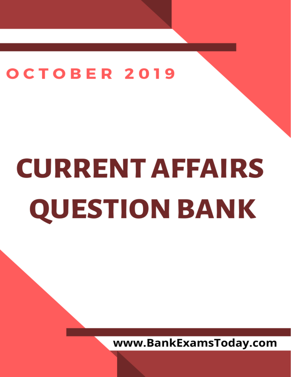## OCTOBER 2019

# **CURRENT AFFAIRS QUESTION BANK**

www.BankExamsToday.com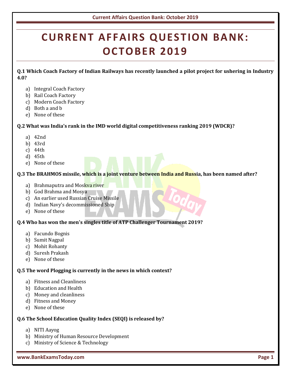### **CURRENT AFFAIRS QUES TION BANK: OCTOBER 2019**

**Q.1 Which Coach Factory of Indian Railways has recently launched a pilot project for ushering in Industry 4.0?**

- a) Integral Coach Factory
- b) Rail Coach Factory
- c) Modern Coach Factory
- d) Both a and b
- e) None of these

#### **Q.2 What was India's rank in the IMD world digital competitiveness ranking 2019 (WDCR)?**

- a) 42nd
- b) 43rd
- c) 44th
- d) 45th
- e) None of these

#### **Q.3 The BRAHMOS missile, which is a joint venture between India and Russia, has been named after?**

- a) Brahmaputra and Moskva river
- b) God Brahma and Mosya
- c) An earlier used Russian Cruise Missile
- d) Indian Navy's decommissioned Ship
- e) None of these

#### **Q.4 Who has won the men's singles title of ATP Challenger Tournament 2019?**

- a) Facundo Bognis
- b) Sumit Nagpal
- c) Mohit Rohanty
- d) Suresh Prakash
- e) None of these

#### **Q.5 The word Plogging is currently in the news in which context?**

- a) Fitness and Cleanliness
- b) Education and Health
- c) Money and cleanliness
- d) Fitness and Money
- e) None of these

#### **Q.6 The School Education Quality Index (SEQI) is released by?**

- a) NITI Aayog
- b) Ministry of Human Resource Development
- c) Ministry of Science & Technology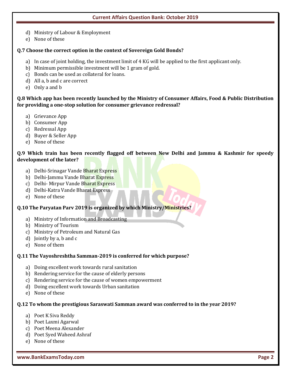- d) Ministry of Labour & Employment
- e) None of these

#### **Q.7 Choose the correct option in the context of Sovereign Gold Bonds?**

- a) In case of joint holding, the investment limit of 4 KG will be applied to the first applicant only.
- b) Minimum permissible investment will be 1 gram of gold.
- c) Bonds can be used as collateral for loans.
- d) All a, b and c are correct
- e) Only a and b

#### **Q.8 Which app has been recently launched by the Ministry of Consumer Affairs, Food & Public Distribution for providing a one-stop solution for consumer grievance redressal?**

- a) Grievance App
- b) Consumer App
- c) Redressal App
- d) Buyer & Seller App
- e) None of these

#### **Q.9 Which train has been recently flagged off between New Delhi and Jammu & Kashmir for speedy development of the later?**

- a) Delhi-Srinagar Vande Bharat Express
- b) Delhi-Jammu Vande Bharat Express
- c) Delhi- Mirpur Vande Bharat Express
- d) Delhi-Katra Vande Bharat Express
- e) None of these

#### **Q.10 The Paryatan Parv 2019 is organized by which Ministry/Ministries?**

- a) Ministry of Information and Broadcasting
- b) Ministry of Tourism
- c) Ministry of Petroleum and Natural Gas
- d) Jointly by a, b and c
- e) None of them

#### **Q.11 The Vayoshreshtha Samman-2019 is conferred for which purpose?**

- a) Doing excellent work towards rural sanitation
- b) Rendering service for the cause of elderly persons
- c) Rendering service for the cause of women empowerment
- d) Doing excellent work towards Urban sanitation
- e) None of these

#### **Q.12 To whom the prestigious Saraswati Samman award was conferred to in the year 2019?**

- a) Poet K Siva Reddy
- b) Poet Laxmi Agarwal
- c) Poet Meena Alexander
- d) Poet Syed Waheed Ashraf
- e) None of these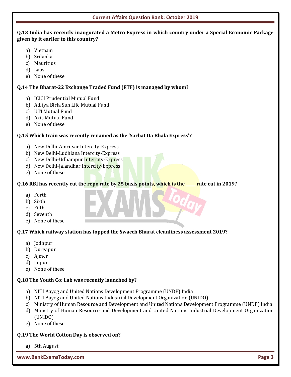#### **Q.13 India has recently inaugurated a Metro Express in which country under a Special Economic Package given by it earlier to this country?**

- a) Vietnam
- b) Srilanka
- c) Mauritius
- d) Laos
- e) None of these

#### **Q.14 The Bharat-22 Exchange Traded Fund (ETF) is managed by whom?**

- a) ICICI Prudential Mutual Fund
- b) Aditya Birla Sun Life Mutual Fund
- c) UTI Mutual Fund
- d) Axis Mutual Fund
- e) None of these

#### **Q.15 Which train was recently renamed as the 'Sarbat Da Bhala Express'?**

- a) New Delhi-Amritsar Intercity-Express
- b) New Delhi-Ludhiana Intercity-Express
- c) New Delhi-Udhampur Intercity-Express
- d) New Delhi-Jalandhar Intercity-Express
- e) None of these

#### **Q.16 RBI has recently cut the repo rate by 25 basis points, which is the \_\_\_\_\_ rate cut in 2019?**

- a) Forth
- b) Sixth
- c) Fifth
- d) Seventh
- e) None of these

#### **Q.17 Which railway station has topped the Swacch Bharat cleanliness assessment 2019?**

- a) Jodhpur
- b) Durgapur
- c) Ajmer
- d) Jaipur
- e) None of these

#### **Q.18 The Youth Co: Lab was recently launched by?**

- a) NITI Aayog and United Nations Development Programme (UNDP) India
- b) NITI Aayog and United Nations Industrial Development Organization (UNIDO)
- c) Ministry of Human Resource and Development and United Nations Development Programme (UNDP) India
- d) Ministry of Human Resource and Development and United Nations Industrial Development Organization (UNIDO)
- e) None of these

#### **Q.19 The World Cotton Day is observed on?**

a) 5th August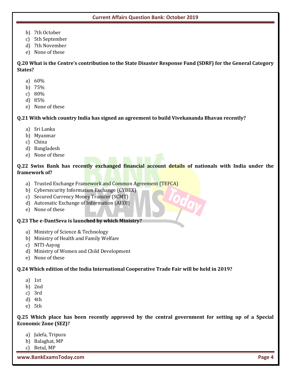- b) 7th October
- c) 5th September
- d) 7th November
- e) None of these

**Q.20 What is the Centre's contribution to the State Disaster Response Fund (SDRF) for the General Category States?**

- a) 60%
- b) 75%
- c) 80%
- d) 85%
- e) None of these

#### **Q.21 With which country India has signed an agreement to build Vivekananda Bhavan recently?**

- a) Sri Lanka
- b) Myanmar
- c) China
- d) Bangladesh
- e) None of these

#### **Q.22 Swiss Bank has recently exchanged financial account details of nationals with India under the framework of?**

- a) Trusted Exchange Framework and Common Agreement (TEFCA)
- b) Cybersecurity Information Exchange (CYBEX)
- c) Secured Currency Money Transfer (SCMT)
- d) Automatic Exchange of Information (AEOI)
- e) None of these

#### **Q.23 The e-DantSeva is launched by which Ministry?**

- a) Ministry of Science & Technology
- b) Ministry of Health and Family Welfare
- c) NITI-Aayog
- d) Ministry of Women and Child Development
- e) None of these

#### **Q.24 Which edition of the India International Cooperative Trade Fair will be held in 2019?**

- a) 1st
- b) 2nd
- c) 3rd
- d) 4th
- e) 5th

#### **Q.25 Which place has been recently approved by the central government for setting up of a Special Economic Zone (SEZ)?**

- a) Jalefa, Tripura
- b) Balaghat, MP
- c) Betul, MP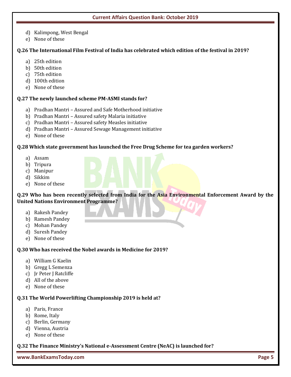- d) Kalimpong, West Bengal
- e) None of these

#### **Q.26 The International Film Festival of India has celebrated which edition of the festival in 2019?**

- a) 25th edition
- b) 50th edition
- c) 75th edition
- d) 100th edition
- e) None of these

#### **Q.27 The newly launched scheme PM-ASMI stands for?**

- a) Pradhan Mantri Assured and Safe Motherhood initiative
- b) Pradhan Mantri Assured safety Malaria initiative
- c) Pradhan Mantri Assured safety Measles initiative
- d) Pradhan Mantri Assured Sewage Management initiative
- e) None of these

#### **Q.28 Which state government has launched the Free Drug Scheme for tea garden workers?**

- a) Assam
- b) Tripura
- c) Manipur
- d) Sikkim
- e) None of these

#### **Q.29 Who has been recently selected from India for the Asia Environmental Enforcement Award by the United Nations Environment Programme?**

- a) Rakesh Pandey
- b) Ramesh Pandey
- c) Mohan Pandey
- d) Suresh Pandey
- e) None of these

#### **Q.30 Who has received the Nobel awards in Medicine for 2019?**

- a) William G Kaelin
- b) Gregg L Semenza
- c) Jr Peter J Ratcliffe
- d) All of the above
- e) None of these

#### **Q.31 The World Powerlifting Championship 2019 is held at?**

- a) Paris, France
- b) Rome, Italy
- c) Berlin, Germany
- d) Vienna, Austria
- e) None of these

#### **Q.32 The Finance Ministry's National e-Assessment Centre (NeAC) is launched for?**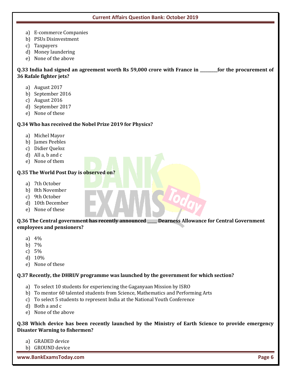- a) E-commerce Companies
- b) PSUs Disinvestment
- c) Taxpayers
- d) Money laundering
- e) None of the above

**Q.33 India had signed an agreement worth Rs 59,000 crore with France in \_\_\_\_\_\_\_\_\_for the procurement of 36 Rafale fighter jets?**

- a) August 2017
- b) September 2016
- c) August 2016
- d) September 2017
- e) None of these

#### **Q.34 Who has received the Nobel Prize 2019 for Physics?**

- a) Michel Mayor
- b) James Peebles
- c) Didier Queloz
- d) All a, b and c
- e) None of them

#### **Q.35 The World Post Day is observed on?**

- a) 7th October
- b) 8th November
- c) 9th October
- d) 10th December
- e) None of these

**Q.36 The Central government has recently announced \_\_\_\_\_ Dearness Allowance for Central Government employees and pensioners?**

- a) 4%
- b) 7%
- c) 5%
- d) 10%
- e) None of these

#### **Q.37 Recently, the DHRUV programme was launched by the government for which section?**

- a) To select 10 students for experiencing the Gaganyaan Mission by ISRO
- b) To mentor 60 talented students from Science, Mathematics and Performing Arts
- c) To select 5 students to represent India at the National Youth Conference
- d) Both a and c
- e) None of the above

#### **Q.38 Which device has been recently launched by the Ministry of Earth Science to provide emergency Disaster Warning to fishermen?**

- a) GRADED device
- b) GROUND device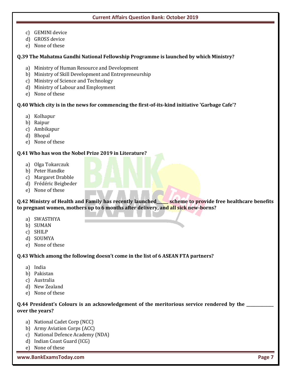- c) GEMINI device
- d) GROSS device
- e) None of these

#### **Q.39 The Mahatma Gandhi National Fellowship Programme is launched by which Ministry?**

- a) Ministry of Human Resource and Development
- b) Ministry of Skill Development and Entrepreneurship
- c) Ministry of Science and Technology
- d) Ministry of Labour and Employment
- e) None of these

#### **Q.40 Which city is in the news for commencing the first-of-its-kind initiative 'Garbage Cafe'?**

- a) Kolhapur
- b) Raipur
- c) Ambikapur
- d) Bhopal
- e) None of these

#### **Q.41 Who has won the Nobel Prize 2019 in Literature?**

- a) Olga Tokarczuk
- b) Peter Handke
- c) Margaret Drabble
- d) Frédéric Beigbeder
- e) None of these

**Q.42 Ministry of Health and Family has recently launched\_\_\_\_\_\_ scheme to provide free healthcare benefits to pregnant women, mothers up to 6 months after delivery, and all sick new-borns?**

- a) SWASTHYA
- b) SUMAN
- c) SHILP
- d) SOUMYA
- e) None of these

#### **Q.43 Which among the following doesn't come in the list of 6 ASEAN FTA partners?**

- a) India
- b) Pakistan
- c) Australia
- d) New Zealand
- e) None of these

#### **Q.44 President's Colours is an acknowledgement of the meritorious service rendered by the over the years?**

- a) National Cadet Corp (NCC)
- b) Army Aviation Corps (ACC)
- c) National Defence Academy (NDA)
- d) Indian Coast Guard (ICG)
- e) None of these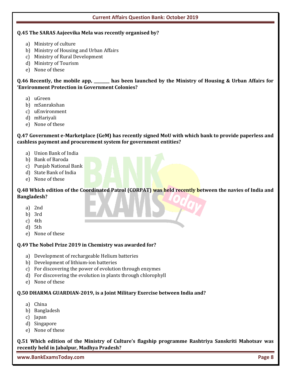#### **Q.45 The SARAS Aajeevika Mela was recently organised by?**

- a) Ministry of culture
- b) Ministry of Housing and Urban Affairs
- c) Ministry of Rural Development
- d) Ministry of Tourism
- e) None of these

**Q.46 Recently, the mobile app, \_\_\_\_\_\_\_\_ has been launched by the Ministry of Housing & Urban Affairs for 'Environment Protection in Government Colonies?**

- a) uGreen
- b) mSanrakshan
- c) uEnvironment
- d) mHariyali
- e) None of these

**Q.47 Government e-Marketplace (GeM) has recently signed MoU with which bank to provide paperless and cashless payment and procurement system for government entities?**

- a) Union Bank of India
- b) Bank of Baroda
- c) Punjab National Bank
- d) State Bank of India
- e) None of these

**Q.48 Which edition of the Coordinated Patrol (CORPAT) was held recently between the navies of India and Bangladesh?**

- a) 2nd
- b) 3rd
- c) 4th
- d) 5th
- e) None of these

#### **Q.49 The Nobel Prize 2019 in Chemistry was awarded for?**

- a) Development of rechargeable Helium batteries
- b) Development of lithium-ion batteries
- c) For discovering the power of evolution through enzymes
- d) For discovering the evolution in plants through chlorophyll
- e) None of these

#### **Q.50 DHARMA GUARDIAN-2019, is a Joint Military Exercise between India and?**

- a) China
- b) Bangladesh
- c) Japan
- d) Singapore
- e) None of these

#### **Q.51 Which edition of the Ministry of Culture's flagship programme Rashtriya Sanskriti Mahotsav was recently held in Jabalpur, Madhya Pradesh?**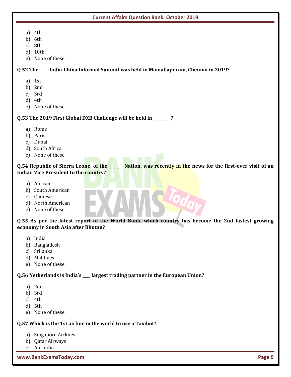- a) 4th
- b) 6th
- c) 8th
- d) 10th
- e) None of these

**Q.52 The \_\_\_\_\_India-China Informal Summit was held in Mamallapuram, Chennai in 2019?**

- a) 1st
- b) 2nd
- c) 3rd
- d) 4th
- e) None of these

#### **Q.53 The 2019 First Global DXB Challenge will be held in \_\_\_\_\_\_\_\_\_?**

- a) Rome
- b) Paris
- c) Dubai
- d) South Africa
- e) None of these

#### **Q.54 Republic of Sierra Leone, of the \_\_\_\_\_\_\_ Nation, was recently in the news for the first-ever visit of an Indian Vice President to the country?**

- a) African
- b) South American
- c) Chinese
- d) North American
- e) None of these

**Q.55 As per the latest report of the World Bank, which country has become the 2nd fastest growing economy in South Asia after Bhutan?**

- a) India
- b) Bangladesh
- c) Srilanka
- d) Maldives
- e) None of these

#### **Q.56 Netherlands is India's \_\_\_\_ largest trading partner in the European Union?**

- a) 2nd
- b) 3rd
- c) 4th
- d) 5th
- e) None of these

#### **Q.57 Which is the 1st airline in the world to use a Taxibot?**

- a) Singapore Airlines
- b) Qatar Airways
- c) Air India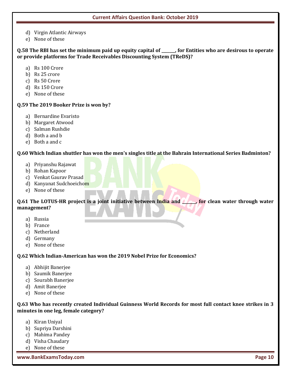- d) Virgin Atlantic Airways
- e) None of these

**Q.58 The RBI has set the minimum paid up equity capital of \_\_\_\_\_\_\_, for Entities who are desirous to operate or provide platforms for Trade Receivables Discounting System (TReDS)?**

- a) Rs 100 Crore
- b) Rs 25 crore
- c) Rs 50 Crore
- d) Rs 150 Crore
- e) None of these

#### **Q.59 The 2019 Booker Prize is won by?**

- a) Bernardine Evaristo
- b) Margaret Atwood
- c) Salman Rushdie
- d) Both a and b
- e) Both a and c

**Q.60 Which Indian shuttler has won the men's singles title at the Bahrain International Series Badminton?**

- a) Priyanshu Rajawat
- b) Rohan Kapoor
- c) Venkat Gaurav Prasad
- d) Kanyanat Sudchoeichom
- e) None of these

**Q.61 The LOTUS-HR project is a joint initiative between India and <b>Algert**, for clean water through water **management?**

- a) Russia
- b) France
- c) Netherland
- d) Germany
- e) None of these

#### **Q.62 Which Indian-American has won the 2019 Nobel Prize for Economics?**

- a) Abhijit Banerjee
- b) Saumik Banerjee
- c) Sourabh Banerjee
- d) Amit Banerjee
- e) None of these

**Q.63 Who has recently created Individual Guinness World Records for most full contact knee strikes in 3 minutes in one leg, female category?**

- a) Kiran Uniyal
- b) Supriya Darshini
- c) Mahima Pandey
- d) Visha Chaudary
- e) None of these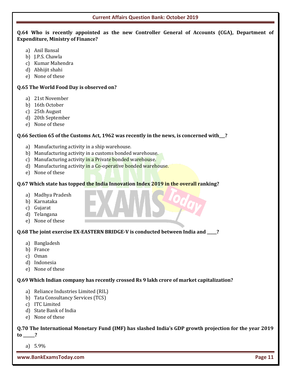**Q.64 Who is recently appointed as the new Controller General of Accounts (CGA), Department of Expenditure, Ministry of Finance?**

- a) Anil Bansal
- b) I.P.S. Chawla
- c) Kumar Mahendra
- d) Abhijit shahi
- e) None of these

#### **Q.65 The World Food Day is observed on?**

- a) 21st November
- b) 16th October
- c) 25th August
- d) 20th September
- e) None of these

#### **Q.66 Section 65 of the Customs Act, 1962 was recently in the news, is concerned with\_\_\_?**

- a) Manufacturing activity in a ship warehouse.
- b) Manufacturing activity in a customs bonded warehouse.
- c) Manufacturing activity in a Private bonded warehouse.
- d) Manufacturing activity in a Co-operative bonded warehouse.
- e) None of these

#### **Q.67 Which state has topped the India Innovation Index 2019 in the overall ranking?**

- a) Madhya Pradesh
- b) Karnataka
- c) Gujarat
- d) Telangana
- e) None of these

#### **Q.68 The joint exercise EX-EASTERN BRIDGE-V is conducted between India and \_\_\_\_\_?**

- a) Bangladesh
- b) France
- c) Oman
- d) Indonesia
- e) None of these

#### **Q.69 Which Indian company has recently crossed Rs 9 lakh crore of market capitalization?**

- a) Reliance Industries Limited (RIL)
- b) Tata Consultancy Services (TCS)
- c) ITC Limited
- d) State Bank of India
- e) None of these

#### **Q.70 The International Monetary Fund (IMF) has slashed India's GDP growth projection for the year 2019 to \_\_\_\_\_\_?**

a) 5.9%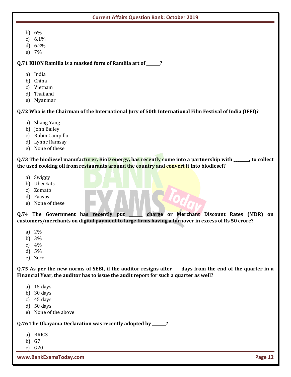- b)  $6\%$
- c) 6.1%
- d) 6.2%
- e) 7%

**Q.71 KHON Ramlila is a masked form of Ramlila art of \_\_\_\_\_\_\_?**

- a) India
- b) China
- c) Vietnam
- d) Thailand
- e) Myanmar

**Q.72 Who is the Chairman of the International Jury of 50th International Film Festival of India (IFFI)?**

- a) Zhang Yang
- b) John Bailey
- c) Robin Campillo
- d) Lynne Ramsay
- e) None of these

**Q.73 The biodiesel manufacturer, BioD energy, has recently come into a partnership with \_\_\_\_\_\_\_\_, to collect the used cooking oil from restaurants around the country and convert it into biodiesel?**

- a) Swiggy
- b) UberEats
- c) Zomato
- d) Faasos
- e) None of these

**Q.74 The Government has recently put \_\_\_\_\_\_\_ charge or Merchant Discount Rates (MDR) on customers/merchants on digital payment to large firms having a turnover in excess of Rs 50 crore?**

- a) 2%
- b) 3%
- c)  $4\%$
- d) 5%
- e) Zero

**Q.75 As per the new norms of SEBI, if the auditor resigns after\_\_\_\_ days from the end of the quarter in a Financial Year, the auditor has to issue the audit report for such a quarter as well?**

- a) 15 days
- b) 30 days
- c) 45 days
- d) 50 days
- e) None of the above

#### **Q.76 The Okayama Declaration was recently adopted by \_\_\_\_\_\_\_?**

- a) BRICS
- b) G7
- c) G20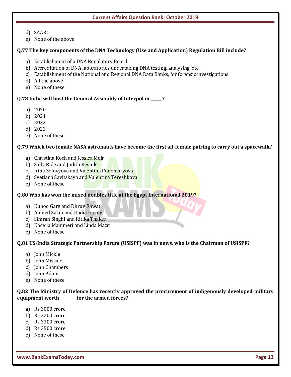- d) SAARC
- e) None of the above

#### **Q.77 The key components of the DNA Technology (Use and Application) Regulation Bill include?**

- a) Establishment of a DNA Regulatory Board
- b) Accreditation of DNA laboratories undertaking DNA testing, analysing, etc.
- c) Establishment of the National and Regional DNA Data Banks, for forensic investigations
- d) All the above
- e) None of these

#### **Q.78 India will host the General Assembly of Interpol in \_\_\_\_\_\_?**

- a) 2020
- b) 2021
- c) 2022
- d) 2023
- e) None of these

#### **Q.79 Which two female NASA astronauts have become the first all-female pairing to carry out a spacewalk?**

- a) Christina Koch and Jessica Meir
- b) Sally Ride and Judith Resnik
- c) Irina Solovyova and Valentina Ponomaryova
- d) Svetlana Savitskaya and Valentina Tereshkova
- e) None of these

#### **Q.80 Who has won the mixed doubles title at the Egypt International 2019?**

- a) Kuhoo Garg and Dhruv Rawat
- b) Ahmed Salah and Hadia Hosny
- c) Simran Singhi and Ritika Thaker
- d) Koceila Mammeri and Linda Mazri
- e) None of these

#### **Q.81 US-India Strategic Partnership Forum (USISPF) was in news, who is the Chairman of USISPF?**

- a) John Mickle
- b) John Missale
- c) John Chambers
- d) John Adam
- e) None of these

**Q.82 The Ministry of Defence has recently approved the procurement of indigenously developed military equipment worth \_\_\_\_\_\_\_\_ for the armed forces?**

- a) Rs 3000 crore
- b) Rs 3200 crore
- c) Rs 3300 crore
- d) Rs 3500 crore
- e) None of these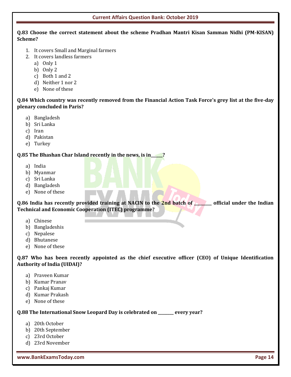#### **Q.83 Choose the correct statement about the scheme Pradhan Mantri Kisan Samman Nidhi (PM-KISAN) Scheme?**

- 1. It covers Small and Marginal farmers
- 2. It covers landless farmers
	- a) Only 1
	- b) Only 2
	- c) Both 1 and 2
	- d) Neither 1 nor 2
	- e) None of these

#### **Q.84 Which country was recently removed from the Financial Action Task Force's grey list at the five-day plenary concluded in Paris?**

- a) Bangladesh
- b) Sri Lanka
- c) Iran
- d) Pakistan
- e) Turkey

#### **Q.85 The Bhashan Char Island recently in the news, is in\_\_\_\_\_\_?**

- a) India
- b) Myanmar
- c) Sri Lanka
- d) Bangladesh
- e) None of these

**Q.86 India has recently provided training at NACIN to the 2nd batch of \_\_\_\_\_\_\_\_\_ official under the Indian Technical and Economic Cooperation (ITEC) programme?**

- a) Chinese
- b) Bangladeshis
- c) Nepalese
- d) Bhutanese
- e) None of these

**Q.87 Who has been recently appointed as the chief executive officer (CEO) of Unique Identification Authority of India (UIDAI)?**

- a) Praveen Kumar
- b) Kumar Pranav
- c) Pankaj Kumar
- d) Kumar Prakash
- e) None of these

#### **Q.88 The International Snow Leopard Day is celebrated on \_\_\_\_\_\_\_\_ every year?**

- a) 20th October
- b) 20th September
- c) 23rd October
- d) 23rd November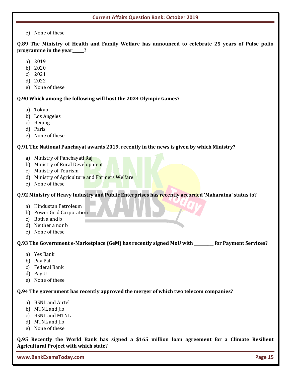e) None of these

**Q.89 The Ministry of Health and Family Welfare has announced to celebrate 25 years of Pulse polio programme in the year\_\_\_\_\_\_?**

- a) 2019
- b) 2020
- c) 2021
- d) 2022
- e) None of these

#### **Q.90 Which among the following will host the 2024 Olympic Games?**

- a) Tokyo
- b) Los Angeles
- c) Beijing
- d) Paris
- e) None of these

#### **Q.91 The National Panchayat awards 2019, recently in the news is given by which Ministry?**

- a) Ministry of Panchayati Raj
- b) Ministry of Rural Development
- c) Ministry of Tourism
- d) Ministry of Agriculture and Farmers Welfare
- e) None of these

#### **Q.92 Ministry of Heavy Industry and Public Enterprises has recently accorded 'Maharatna' status to?**

- a) Hindustan Petroleum
- b) Power Grid Corporation
- c) Both a and b
- d) Neither a nor b
- e) None of these

#### **Q.93 The Government e-Marketplace (GeM) has recently signed MoU with \_\_\_\_\_\_\_\_\_\_ for Payment Services?**

- a) Yes Bank
- b) Pay Pal
- c) Federal Bank
- d) Pay U
- e) None of these

#### **Q.94 The government has recently approved the merger of which two telecom companies?**

- a) BSNL and Airtel
- b) MTNL and Jio
- c) BSNL and MTNL
- d) MTNL and Jio
- e) None of these

**Q.95 Recently the World Bank has signed a \$165 million loan agreement for a Climate Resilient Agricultural Project with which state?**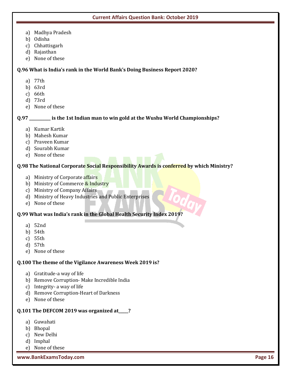- a) Madhya Pradesh
- b) Odisha
- c) Chhattisgarh
- d) Rajasthan
- e) None of these

#### **Q.96 What is India's rank in the World Bank's Doing Business Report 2020?**

- a) 77th
- b) 63rd
- c) 66th
- d) 73rd
- e) None of these

#### **Q.97 \_\_\_\_\_\_\_\_\_\_\_ is the 1st Indian man to win gold at the Wushu World Championships?**

- a) Kumar Kartik
- b) Mahesh Kumar
- c) Praveen Kumar
- d) Sourabh Kumar
- e) None of these

#### **Q.98 The National Corporate Social Responsibility Awards is conferred by which Ministry?**

- a) Ministry of Corporate affairs
- b) Ministry of Commerce & Industry
- c) Ministry of Company Affairs
- d) Ministry of Heavy Industries and Public Enterprises
- e) None of these

#### **Q.99 What was India's rank in the Global Health Security Index 2019?**

- a) 52nd
- b) 54th
- c) 55th
- d) 57th
- e) None of these

#### **Q.100 The theme of the Vigilance Awareness Week 2019 is?**

- a) Gratitude-a way of life
- b) Remove Corruption- Make Incredible India
- c) Integrity- a way of life
- d) Remove Corruption-Heart of Darkness
- e) None of these

#### **Q.101 The DEFCOM 2019 was organized at\_\_\_\_\_?**

- a) Guwahati
- b) Bhopal
- c) New Delhi
- d) Imphal
- e) None of these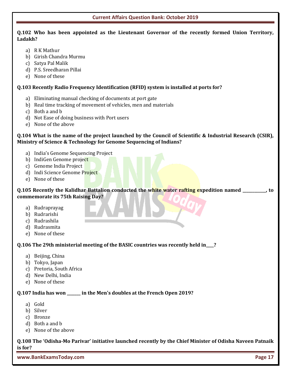#### **Q.102 Who has been appointed as the Lieutenant Governor of the recently formed Union Territory, Ladakh?**

- a) R K Mathur
- b) Girish Chandra Murmu
- c) Satya Pal Malik
- d) P.S. Sreedharan Pillai
- e) None of these

#### **Q.103 Recently Radio Frequency Identification (RFID) system is installed at ports for?**

- a) Eliminating manual checking of documents at port gate
- b) Real time tracking of movement of vehicles, men and materials
- c) Both a and b
- d) Not Ease of doing business with Port users
- e) None of the above

#### **Q.104 What is the name of the project launched by the Council of Scientific & Industrial Research (CSIR), Ministry of Science & Technology for Genome Sequencing of Indians?**

- a) India's Genome Sequencing Project
- b) IndiGen Genome project
- c) Genome India Project
- d) Indi Science Genome Project
- e) None of these

**Q.105 Recently the Kalidhar Battalion conducted the white water rafting expedition named \_\_\_\_\_\_\_\_\_\_\_\_, to commemorate its 75th Raising Day?**

- a) Rudraprayag
- b) Rudrarishi
- c) Rudrashila
- d) Rudrasmita
- e) None of these

#### **Q.106 The 29th ministerial meeting of the BASIC countries was recently held in\_\_\_\_?**

- a) Beijing, China
- b) Tokyo, Japan
- c) Pretoria, South Africa
- d) New Delhi, India
- e) None of these

#### **Q.107 India has won \_\_\_\_\_\_\_ in the Men's doubles at the French Open 2019?**

- a) Gold
- b) Silver
- c) Bronze
- d) Both a and b
- e) None of the above

#### **Q.108 The 'Odisha-Mo Parivar' initiative launched recently by the Chief Minister of Odisha Naveen Patnaik is for?**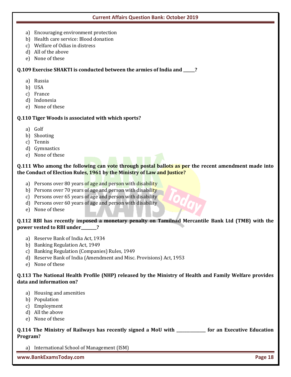- a) Encouraging environment protection
- b) Health care service: Blood donation
- c) Welfare of Odias in distress
- d) All of the above
- e) None of these

#### **Q.109 Exercise SHAKTI is conducted between the armies of India and \_\_\_\_\_\_?**

- a) Russia
- b) USA
- c) France
- d) Indonesia
- e) None of these

#### **Q.110 Tiger Woods is associated with which sports?**

- a) Golf
- b) Shooting
- c) Tennis
- d) Gymnastics
- e) None of these

#### **Q.111 Who among the following can vote through postal ballots as per the recent amendment made into the Conduct of Election Rules, 1961 by the Ministry of Law and Justice?**

- a) Persons over 80 years of age and person with disability
- b) Persons over 70 years of age and person with disability
- c) Persons over 65 years of age and person with disability
- d) Persons over 60 years of age and person with disability
- e) None of these

#### **Q.112 RBI has recently imposed a monetary penalty on Tamilnad Mercantile Bank Ltd (TMB) with the power vested to RBI under\_\_\_\_\_\_\_\_?**

- a) Reserve Bank of India Act, 1934
- b) Banking Regulation Act, 1949
- c) Banking Regulation (Companies) Rules, 1949
- d) Reserve Bank of India (Amendment and Misc. Provisions) Act, 1953
- e) None of these

#### **Q.113 The National Health Profile (NHP) released by the Ministry of Health and Family Welfare provides data and information on?**

- a) Housing and amenities
- b) Population
- c) Employment
- d) All the above
- e) None of these

#### **Q.114 The Ministry of Railways has recently signed a MoU with \_\_\_\_\_\_\_\_\_\_\_\_\_\_\_ for an Executive Education Program?**

a) International School of Management (ISM)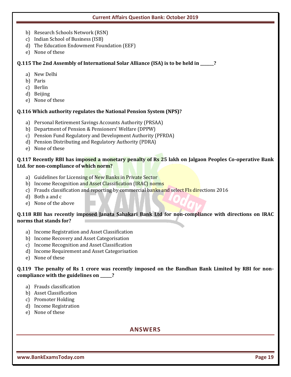- b) Research Schools Network (RSN)
- c) Indian School of Business (ISB)
- d) The Education Endowment Foundation (EEF)
- e) None of these

**Q.115 The 2nd Assembly of International Solar Alliance (ISA) is to be held in \_\_\_\_\_\_\_?**

- a) New Delhi
- b) Paris
- c) Berlin
- d) Beijing
- e) None of these

#### **Q.116 Which authority regulates the National Pension System (NPS)?**

- a) Personal Retirement Savings Accounts Authority (PRSAA)
- b) Department of Pension & Pensioners' Welfare (DPPW)
- c) Pension Fund Regulatory and Development Authority (PFRDA)
- d) Pension Distributing and Regulatory Authority (PDRA)
- e) None of these

#### **Q.117 Recently RBI has imposed a monetary penalty of Rs 25 lakh on Jalgaon Peoples Co-operative Bank Ltd. for non-compliance of which norm?**

- a) Guidelines for Licensing of New Banks in Private Sector
- b) Income Recognition and Asset Classification (IRAC) norms
- c) Frauds classification and reporting by commercial banks and select FIs directions 2016
- d) Both a and c
- e) None of the above

#### **Q.118 RBI has recently imposed Janata Sahakari Bank Ltd for non-compliance with directions on IRAC norms that stands for?**

- a) Income Registration and Asset Classification
- b) Income Recovery and Asset Categorisation
- c) Income Recognition and Asset Classification
- d) Income Requirement and Asset Categorisation
- e) None of these

#### **Q.119 The penalty of Rs 1 crore was recently imposed on the Bandhan Bank Limited by RBI for noncompliance with the guidelines on \_\_\_\_\_\_?**

- a) Frauds classification
- b) Asset Classification
- c) Promoter Holding
- d) Income Registration
- e) None of these

#### **ANSWERS**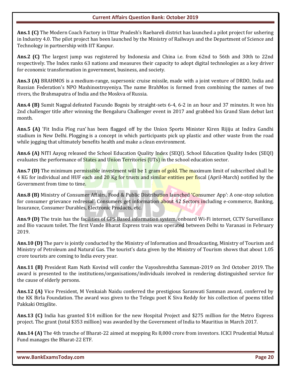**Ans.1 (C)** The Modern Coach Factory in Uttar Pradesh's Raebareli district has launched a pilot project for ushering in Industry 4.0. The pilot project has been launched by the Ministry of Railways and the Department of Science and Technology in partnership with IIT Kanpur.

**Ans.2 (C)** The largest jump was registered by Indonesia and China i.e. from 62nd to 56th and 30th to 22nd respectively. The Index ranks 63 nations and measures their capacity to adopt digital technologies as a key driver for economic transformation in government, business, and society.

**Ans.3 (A)** BRAHMOS is a medium-range, supersonic cruise missile, made with a joint venture of DRDO, India and Russian Federation's NPO Mashinostroyeniya. The name BrahMos is formed from combining the names of two rivers, the Brahmaputra of India and the Moskva of Russia.

**Ans.4 (B)** Sumit Nagpal defeated Facundo Bognis by straight-sets 6-4, 6-2 in an hour and 37 minutes. It won his 2nd challenger title after winning the Bengaluru Challenger event in 2017 and grabbed his Grand Slam debut last month.

**Ans.5 (A)** 'Fit India Plog run' has been flagged off by the Union Sports Minister Kiren Rijiju at Indira Gandhi stadium in New Delhi. Plogging is a concept in which participants pick up plastic and other waste from the road while jogging that ultimately benefits health and make a clean environment.

**Ans.6 (A)** NITI Aayog released the School Education Quality Index (SEQI). School Education Quality Index (SEQI) evaluates the performance of States and Union Territories (UTs) in the school education sector.

**Ans.7 (D)** The minimum permissible investment will be 1 gram of gold. The maximum limit of subscribed shall be 4 KG for individual and HUF each and 20 Kg for trusts and similar entities per fiscal (April-March) notified by the Government from time to time.

**Ans.8 (B)** Ministry of Consumer Affairs, Food & Public Distribution launched 'Consumer App': A one-stop solution for consumer grievance redressal'. Consumers get information about 42 Sectors including e-commerce, Banking, Insurance, Consumer Durables, Electronic Products, etc.

**Ans.9 (D)** The train has the facilities of GPS Based information system, onboard Wi-Fi internet, CCTV Surveillance and Bio vacuum toilet. The first Vande Bharat Express train was operated between Delhi to Varanasi in February 2019.

**Ans.10 (D)** The parv is jointly conducted by the Ministry of Information and Broadcasting, Ministry of Tourism and Ministry of Petroleum and Natural Gas. The tourist's data given by the Ministry of Tourism shows that about 1.05 crore tourists are coming to India every year.

**Ans.11 (B)** President Ram Nath Kovind will confer the Vayoshreshtha Samman-2019 on 3rd October 2019. The award is presented to the institutions/organisations/individuals involved in rendering distinguished service for the cause of elderly persons.

**Ans.12 (A)** Vice President, M Venkaiah Naidu conferred the prestigious Saraswati Samman award, conferred by the KK Birla Foundation. The award was given to the Telegu poet K Siva Reddy for his collection of poems titled Pakkaki Ottigilite.

**Ans.13 (C)** India has granted \$14 million for the new Hospital Project and \$275 million for the Metro Express project. The grant (total \$353 million) was awarded by the Government of India to Mauritius in March 2017.

**Ans.14 (A)** The 4th tranche of Bharat-22 aimed at mopping Rs 8,000 crore from investors. ICICI Prudential Mutual Fund manages the Bharat-22 ETF.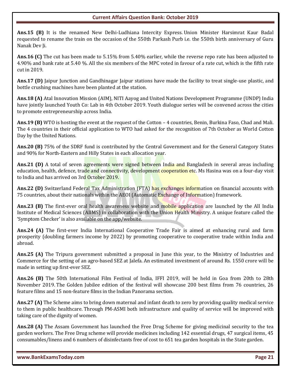**Ans.15 (B)** It is the renamed New Delhi-Ludhiana Intercity Express. Union Minister Harsimrat Kaur Badal requested to rename the train on the occasion of the 550th Parkash Purb i.e. the 550th birth anniversary of Guru Nanak Dev Ji.

**Ans.16 (C)** The cut has been made to 5.15% from 5.40% earlier, while the reverse repo rate has been adjusted to 4.90% and bank rate at 5.40 %. All the six members of the MPC voted in favour of a rate cut, which is the fifth rate cut in 2019.

**Ans.17 (D)** Jaipur Junction and Gandhinagar Jaipur stations have made the facility to treat single-use plastic, and bottle crushing machines have been planted at the station.

**Ans.18 (A)** Atal Innovation Mission (AIM), NITI Aayog and United Nations Development Programme (UNDP) India have jointly launched Youth Co: Lab in 4th October 2019. Youth dialogue series will be convened across the cities to promote entrepreneurship across India.

**Ans.19 (B)** WTO is hosting the event at the request of the Cotton – 4 countries, Benin, Burkina Faso, Chad and Mali. The 4 countries in their official application to WTO had asked for the recognition of 7th October as World Cotton Day by the United Nations.

**Ans.20 (B)** 75% of the SDRF fund is contributed by the Central Government and for the General Category States and 90% for North-Eastern and Hilly States in each allocation year.

**Ans.21 (D)** A total of seven agreements were signed between India and Bangladesh in several areas including education, health, defence, trade and connectivity, development cooperation etc. Ms Hasina was on a four-day visit to India and has arrived on 3rd October 2019.

Ans.22 (D) Switzerland Federal Tax Administration (FTA) has exchanges information on financial accounts with 75 countries, about their nationals within the AEOI (Automatic Exchange of Information) framework.

**Ans.23 (B)** The first-ever oral health awareness website and mobile application are launched by the All India Institute of Medical Sciences (AIIMS) in collaboration with the Union Health Ministry. A unique feature called the 'Symptom Checker' is also available on the app/website.

**Ans.24 (A)** The first-ever India International Cooperative Trade Fair is aimed at enhancing rural and farm prosperity (doubling farmers income by 2022) by promoting cooperative to cooperative trade within India and abroad.

**Ans.25 (A)** The Tripura government submitted a proposal in June this year, to the Ministry of Industries and Commerce for the setting of an agro-based SEZ at Jalefa. An estimated investment of around Rs. 1550 crore will be made in setting up first-ever SEZ.

**Ans.26 (B)** The 50th International Film Festival of India, IFFI 2019, will be held in Goa from 20th to 28th November 2019. The Golden Jubilee edition of the festival will showcase 200 best films from 76 countries, 26 feature films and 15 non-feature films in the Indian Panorama section.

**Ans.27 (A)** The Scheme aims to bring down maternal and infant death to zero by providing quality medical service to them in public healthcare. Through PM-ASMI both infrastructure and quality of service will be improved with taking care of the dignity of women.

**Ans.28 (A)** The Assam Government has launched the Free Drug Scheme for giving medicinal security to the tea garden workers. The Free Drug scheme will provide medicines including 142 essential drugs, 47 surgical items, 45 consumables/linens and 6 numbers of disinfectants free of cost to 651 tea garden hospitals in the State garden.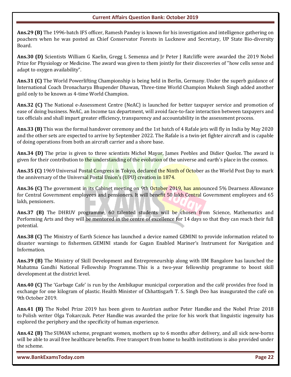**Ans.29 (B)** The 1996-batch IFS officer, Ramesh Pandey is known for his investigation and intelligence gathering on poachers when he was posted as Chief Conservator Forests in Lucknow and Secretary, UP State Bio-diversity Board.

**Ans.30 (D)** Scientists William G Kaelin, Gregg L Semenza and Jr Peter J Ratcliffe were awarded the 2019 Nobel Prize for Physiology or Medicine. The award was given to them jointly for their discoveries of "how cells sense and adapt to oxygen availability".

**Ans.31 (C)** The World Powerlifting Championship is being held in Berlin, Germany. Under the superb guidance of International Coach Dronacharya Bhupender Dhawan, Three-time World Champion Mukesh Singh added another gold only to be known as 4-time World Champion.

**Ans.32 (C)** The National e-Assessment Centre (NeAC) is launched for better taxpayer service and promotion of ease of doing business. NeAC, an Income tax department, will avoid face-to-face interaction between taxpayers and tax officials and shall impart greater efficiency, transparency and accountability in the assessment process.

**Ans.33 (B)** This was the formal handover ceremony and the 1st batch of 4 Rafale jets will fly in India by May 2020 and the other sets are expected to arrive by September 2022. The Rafale is a twin-jet fighter aircraft and is capable of doing operations from both an aircraft carrier and a shore base.

**Ans.34 (D)** The prize is given to three scientists Michel Mayor, James Peebles and Didier Queloz. The award is given for their contribution to the understanding of the evolution of the universe and earth's place in the cosmos.

**Ans.35 (C)** 1969 Universal Postal Congress in Tokyo, declared the Ninth of October as the World Post Day to mark the anniversary of the Universal Postal Union's (UPU) creation in 1874.

Ans.36 (C) The government in its Cabinet meeting on 9th October 2019, has announced 5% Dearness Allowance for Central Government employees and pensioners. It will benefit 50 lakh Central Government employees and 65 lakh, pensioners.

**Ans.37 (B)** The DHRUV programme, 60 talented students will be chosen from Science, Mathematics and Performing Arts and they will be mentored in the centre of excellence for 14 days so that they can reach their full potential.

**Ans.38 (C)** The Ministry of Earth Science has launched a device named GEMINI to provide information related to disaster warnings to fishermen. GEMINI stands for Gagan Enabled Mariner's Instrument for Navigation and Information.

**Ans.39 (B)** The Ministry of Skill Development and Entrepreneurship along with IIM Bangalore has launched the Mahatma Gandhi National Fellowship Programme. This is a two-year fellowship programme to boost skill development at the district level.

**Ans.40 (C)** The 'Garbage Cafe' is run by the Ambikapur municipal corporation and the café provides free food in exchange for one kilogram of plastic. Health Minister of Chhattisgarh T. S. Singh Deo has inaugurated the café on 9th October 2019.

**Ans.41 (B)** The Nobel Prize 2019 has been given to Austrian author Peter Handke and the Nobel Prize 2018 to Polish writer Olga Tokarczuk. Peter Handke was awarded the prize for his work that linguistic ingenuity has explored the periphery and the specificity of human experience.

**Ans.42 (B)** The SUMAN scheme, pregnant women, mothers up to 6 months after delivery, and all sick new-borns will be able to avail free healthcare benefits. Free transport from home to health institutions is also provided under the scheme.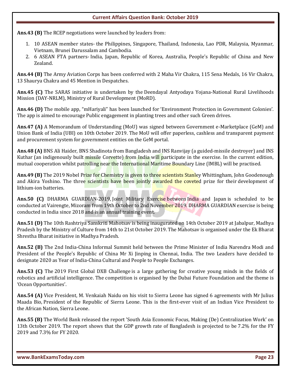**Ans.43 (B)** The RCEP negotiations were launched by leaders from:

- 1. 10 ASEAN member states- the Philippines, Singapore, Thailand, Indonesia, Lao PDR, Malaysia, Myanmar, Vietnam, Brunei Darussalam and Cambodia.
- 2. 6 ASEAN FTA partners- India, Japan, Republic of Korea, Australia, People's Republic of China and New Zealand.

**Ans.44 (B)** The Army Aviation Corps has been conferred with 2 Maha Vir Chakra, 115 Sena Medals, 16 Vir Chakra, 13 Shaurya Chakra and 45 Mention in Despatches.

**Ans.45 (C)** The SARAS initiative is undertaken by the Deendayal Antyodaya Yojana-National Rural Livelihoods Mission (DAY-NRLM), Ministry of Rural Development (MoRD).

**Ans.46 (D)** The mobile app, "mHariyali" has been launched for 'Environment Protection in Government Colonies'. The app is aimed to encourage Public engagement in planting trees and other such Green drives.

**Ans.47 (A)** A Memorandum of Understanding (MoU) was signed between Government e-Marketplace (GeM) and Union Bank of India (UBI) on 10th October 2019. The MoU will offer paperless, cashless and transparent payment and procurement system for government entities on the GeM portal.

**Ans.48 (A)** BNS Ali Haider, BNS Shadinota from Bangladesh and INS Ranvijay (a guided-missile destroyer) and INS Kuthar (an indigenously built missile Corvette) from India will participate in the exercise. In the current edition, mutual cooperation whilst patrolling near the International Maritime Boundary Line (IMBL) will be practised.

**Ans.49 (B)** The 2019 Nobel Prize for Chemistry is given to three scientists Stanley Whittingham, John Goodenough and Akira Yoshino. The three scientists have been jointly awarded the coveted prize for their development of lithium-ion batteries.

**Ans.50 (C)** DHARMA GUARDIAN-2019, Joint Military Exercise between India and Japan is scheduled to be conducted at Vairengte, Mizoram from 19th October to 2nd November 2019. DHARMA GUARDIAN exercise is being conducted in India since 2018 and is an annual training event.

**Ans.51 (D)** The 10th Rashtriya Sanskriti Mahotsav is being inaugurated on 14th October 2019 at Jabalpur, Madhya Pradesh by the Ministry of Culture from 14th to 21st October 2019. The Mahotsav is organised under the Ek Bharat Shrestha Bharat initiative in Madhya Pradesh.

**Ans.52 (B)** The 2nd India-China Informal Summit held between the Prime Minister of India Narendra Modi and President of the People's Republic of China Mr Xi Jinping in Chennai, India. The two Leaders have decided to designate 2020 as Year of India-China Cultural and People to People Exchanges.

**Ans.53 (C)** The 2019 First Global DXB Challenge is a large gathering for creative young minds in the fields of robotics and artificial intelligence. The competition is organised by the Dubai Future Foundation and the theme is 'Ocean Opportunities'.

**Ans.54 (A)** Vice President, M. Venkaiah Naidu on his visit to Sierra Leone has signed 6 agreements with Mr Julius Maada Bio, President of the Republic of Sierra Leone. This is the first-ever visit of an Indian Vice President to the African Nation, Sierra Leone.

**Ans.55 (B)** The World Bank released the report 'South Asia Economic Focus, Making (De) Centralization Work' on 13th October 2019. The report shows that the GDP growth rate of Bangladesh is projected to be 7.2% for the FY 2019 and 7.3% for FY 2020.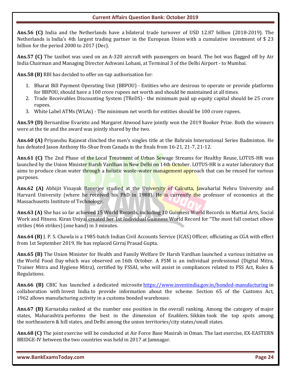**Ans.56 (C)** India and the Netherlands have a bilateral trade turnover of USD 12.87 billion (2018-2019). The Netherlands is India's 4th largest trading partner in the European Union with a cumulative investment of \$ 23 billion for the period 2000 to 2017 (Dec).

**Ans.57 (C)** The taxibot was used on an A-320 aircraft with passengers on board. The bot was flagged off by Air India Chairman and Managing Director Ashwani Lohani, at Terminal 3 of the Delhi Airport - to Mumbai.

**Ans.58 (B)** RBI has decided to offer on-tap authorisation for:

- 1. Bharat Bill Payment Operating Unit (BBPOU) Entities who are desirous to operate or provide platforms for BBPOU, should have a 100 crore rupees net worth and should be maintained at all times.
- 2. Trade Receivables Discounting System (TReDS) the minimum paid up equity capital should be 25 crore rupees.
- 3. White Label ATMs (WLAs) The minimum net worth for entities should be 100 crore rupees.

**Ans.59 (D)** Bernardine Evaristo and Margaret Atwood have jointly won the 2019 Booker Prize. Both the winners were at the tie and the award was jointly shared by the two.

**Ans.60 (A)** Priyanshu Rajawat clinched the men's singles title at the Bahrain International Series Badminton. He has defeated Jason Anthony Ho-Shue from Canada in the finals from 16-21, 21-7, 21-12.

**Ans.61 (C)** The 2nd Phase of the Local Treatment of Urban Sewage Streams for Healthy Reuse, LOTUS-HR was launched by the Union Minister Harsh Vardhan in New Delhi on 14th October. LOTUS-HR is a water laboratory that aims to produce clean water through a holistic waste-water management approach that can be reused for various purposes.

**Ans.62 (A)** Abhijit Vinayak Banerjee studied at the University of Calcutta, Jawaharlal Nehru University and Harvard University (where he received his PhD in 1988). He is currently the professor of economics at the Massachusetts Institute of Technology.

**Ans.63 (A)** She has so far achieved 15 World Records, including 10 Guinness World Records in Martial Arts, Social Work and Fitness. Kiran Uniyal created her 1st Individual Guinness World Record for "The most full contact elbow strikes (466 strikes) (one hand) in 3 minutes.

**Ans.64 (B)** J. P. S. Chawla is a 1985-batch Indian Civil Accounts Service (ICAS) Officer, officiating as CGA with effect from 1st September 2019. He has replaced Girraj Prasad Gupta.

**Ans.65 (B)** The Union Minister for Health and Family Welfare Dr Harsh Vardhan launched a various initiative on the World Food Day which was observed on 16th October. A FSM is an individual professional (Digital Mitra, Trainer Mitra and Hygiene Mitra), certified by FSSAI, who will assist in compliances related to FSS Act, Rules & Regulations.

**Ans.66 (B)** CBIC has launched a dedicated microsite <https://www.investindia.gov.in/bonded-manufacturing> in collaboration with Invest India to provide information about the scheme. Section 65 of the Customs Act, 1962 allows manufacturing activity in a customs bonded warehouse.

**Ans.67 (B)** Karnataka ranked at the number one position in the overall ranking. Among the category of major states, Maharashtra performs the best in the dimension of Enablers. Sikkim took the top spots among the northeastern & hill states, and Delhi among the union territories/city states/small states.

**Ans.68 (C)** The joint exercise will be conducted at Air Force Base Masirah in Oman. The last exercise, EX-EASTERN BRIDGE-IV between the two countries was held in 2017 at Jamnagar.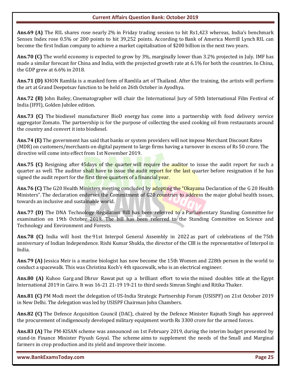**Ans.69 (A)** The RIL shares rose nearly 2% in Friday trading session to hit Rs1,423 whereas, India's benchmark Sensex Index rose 0.5% or 200 points to hit 39,252 points. According to Bank of America Merrill Lynch RIL can become the first Indian company to achieve a market capitalisation of \$200 billion in the next two years.

**Ans.70 (C)** The world economy is expected to grow by 3%, marginally lower than 3.2% projected in July. IMF has made a similar forecast for China and India, with the projected growth rate at 6.1% for both the countries. In China, the GDP grew at 6.6% in 2018.

**Ans.71 (D)** KHON Ramlila is a masked form of Ramlila art of Thailand. After the training, the artists will perform the art at Grand Deepotsav function to be held on 26th October in Ayodhya.

**Ans.72 (B)** John Bailey, Cinematographer will chair the International Jury of 50th International Film Festival of India (IFFI), Golden Jubilee edition.

**Ans.73 (C)** The biodiesel manufacturer BioD energy has come into a partnership with food delivery service aggregator Zomato. The partnership is for the purpose of collecting the used cooking oil from restaurants around the country and convert it into biodiesel.

**Ans.74 (E)** The government has said that banks or system providers will not impose Merchant Discount Rates (MDR) on customers/merchants on digital payment to large firms having a turnover in excess of Rs 50 crore. The directive will come into effect from 1st November 2019.

**Ans.75 (C)** Resigning after 45days of the quarter will require the auditor to issue the audit report for such a quarter as well. The auditor shall have to issue the audit report for the last quarter before resignation if he has signed the audit report for the first three quarters of a financial year.

**Ans.76 (C)** The G20 Health Ministers meeting concluded by adopting the "Okayama Declaration of the G 20 Health Ministers". The declaration endorses the Commitment of G20 countries to address the major global health issues, towards an inclusive and sustainable world.

**Ans.77 (D)** The DNA Technology Regulation Bill has been referred to a Parliamentary Standing Committee for examination on 19th October 2019. The bill has been referred to the Standing Committee on Science and Technology and Environment and Forests.

**Ans.78 (C)** India will host the 91st Interpol General Assembly in 2022 as part of celebrations of the 75th anniversary of Indian Independence. Rishi Kumar Shukla, the director of the CBI is the representative of Interpol in India.

**Ans.79 (A)** Jessica Meir is a marine biologist has now become the 15th Women and 228th person in the world to conduct a spacewalk. This was Christina Koch's 4th spacewalk, who is an electrical engineer.

**Ans.80 (A)** Kuhoo Garg and Dhruv Rawat put up a brilliant effort to win the mixed doubles title at the Egypt International 2019 in Cairo. It was 16-21 21-19 19-21 to third seeds Simran Singhi and Ritika Thaker.

**Ans.81 (C)** PM Modi meet the delegation of US-India Strategic Partnership Forum (USISPF) on 21st October 2019 in New Delhi. The delegation was led by USISPF Chairman John Chambers.

**Ans.82 (C)** The Defence Acquisition Council (DAC), chaired by the Defence Minister Rajnath Singh has approved the procurement of indigenously developed military equipment worth Rs 3300 crore for the armed forces.

**Ans.83 (A)** The PM-KISAN scheme was announced on 1st February 2019, during the interim budget presented by stand-in Finance Minister Piyush Goyal. The scheme aims to supplement the needs of the Small and Marginal farmers in crop production and its yield and improve their income.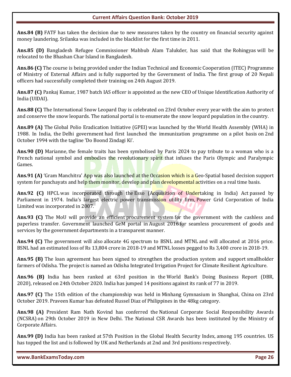**Ans.84 (B)** FATF has taken the decision due to new measures taken by the country on financial security against money laundering. Srilanka was included in the blacklist for the first time in 2011.

**Ans.85 (D)** Bangladesh Refugee Commissioner Mahbub Alam Talukder, has said that the Rohingyas will be relocated to the Bhashan Char Island in Bangladesh.

**Ans.86 (C)** The course is being provided under the Indian Technical and Economic Cooperation (ITEC) Programme of Ministry of External Affairs and is fully supported by the Government of India. The first group of 20 Nepali officers had successfully completed their training on 24th August 2019.

**Ans.87 (C)** Pankaj Kumar, 1987 batch IAS officer is appointed as the new CEO of Unique Identification Authority of India (UIDAI).

**Ans.88 (C)** The International Snow Leopard Day is celebrated on 23rd October every year with the aim to protect and conserve the snow leopards. The national portal is to enumerate the snow leopard population in the country.

**Ans.89 (A)** The Global Polio Eradication Initiative (GPEI) was launched by the World Health Assembly (WHA) in 1988. In India, the Delhi government had first launched the immunization programme on a pilot basis on 2nd October 1994 with the tagline 'Do Boond Zindagi Ki'.

**Ans.90 (D)** Marianne, the female traits has been symbolised by Paris 2024 to pay tribute to a woman who is a French national symbol and embodies the revolutionary spirit that infuses the Paris Olympic and Paralympic Games.

**Ans.91 (A)** 'Gram Manchitra' App was also launched at the Occasion which is a Geo-Spatial based decision support system for panchayats and help them monitor, develop and plan developmental activities on a real time basis.

**Ans.92 (C)** HPCL was incorporated through the Esso (Acquisition of Undertaking in India) Act passed by Parliament in 1974. India's largest electric power transmission utility firm, Power Grid Corporation of India Limited was incorporated in 2007.

**Ans.93 (C)** The MoU will provide an efficient procurement system for the government with the cashless and paperless transfer. Government launched GeM portal in August 2016 for seamless procurement of goods and services by the government departments in a transparent manner.

**Ans.94 (C)** The government will also allocate 4G spectrum to BSNL and MTNL and will allocated at 2016 price. BSNL had an estimated loss of Rs 13,804 crore in 2018-19 and MTNL losses pegged to Rs 3,400 crore in 2018-19.

**Ans.95 (B)** The loan agreement has been signed to strengthen the production system and support smallholder farmers of Odisha. The project is named an Odisha Integrated Irrigation Project for Climate Resilient Agriculture.

**Ans.96 (B)** India has been ranked at 63rd position in the World Bank's Doing Business Report (DBR, 2020), released on 24th October 2020. India has jumped 14 positions against its rank of 77 in 2019.

**Ans.97 (C)** The 15th edition of the championship was held in Minhang Gymnasium in Shanghai, China on 23rd October 2019. Praveen Kumar has defeated Russel Diaz of Philippines in the 48kg category.

**Ans.98 (A)** President Ram Nath Kovind has conferred the National Corporate Social Responsibility Awards (NCSRA) on 29th October 2019 in New Delhi. The National CSR Awards has been instituted by the Ministry of Corporate Affairs.

**Ans.99 (D)** India has been ranked at 57th Position in the Global Health Security Index, among 195 countries. US has topped the list and is followed by UK and Netherlands at 2nd and 3rd positions respectively.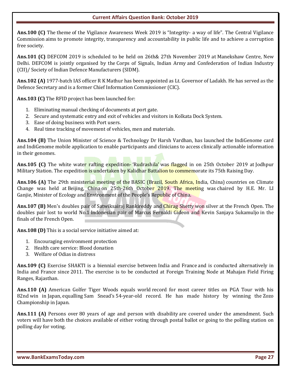**Ans.100 (C)** The theme of the Vigilance Awareness Week 2019 is "Integrity- a way of life". The Central Vigilance Commission aims to promote integrity, transparency and accountability in public life and to achieve a corruption free society.

**Ans.101 (C)** DEFCOM 2019 is scheduled to be held on 26th& 27th November 2019 at Manekshaw Centre, New Delhi. DEFCOM is jointly organised by the Corps of Signals, Indian Army and Confederation of Indian Industry (CII)/ Society of Indian Defence Manufacturers (SIDM).

**Ans.102 (A)** 1977-batch IAS officer R K Mathur has been appointed as Lt. Governor of Ladakh. He has served as the Defence Secretary and is a former Chief Information Commissioner (CIC).

**Ans.103 (C)** The RFID project has been launched for:

- 1. Eliminating manual checking of documents at port gate.
- 2. Secure and systematic entry and exit of vehicles and visitors in Kolkata Dock System.
- 3. Ease of doing business with Port users.
- 4. Real time tracking of movement of vehicles, men and materials.

**Ans.104 (B)** The Union Minister of Science & Technology Dr Harsh Vardhan, has launched the IndiGenome card and IndiGenome mobile application to enable participants and clinicians to access clinically actionable information in their genomes.

**Ans.105 (C)** The white water rafting expedition- 'Rudrashila' was flagged in on 25th October 2019 at Jodhpur Military Station. The expedition is undertaken by Kalidhar Battalion to commemorate its 75th Raising Day.

**Ans.106 (A)** The 29th ministerial meeting of the BASIC (Brazil, South Africa, India, China) countries on Climate Change was held at Beijing, China on 25th-26th October 2019. The meeting was chaired by H.E. Mr. LI Ganjie, Minister of Ecology and Environment of the People's Republic of China.

**Ans.107 (B)** Men's doubles pair of Satwiksairaj Rankireddy and Chirag Shetty won silver at the French Open. The doubles pair lost to world No.1 Indonesian pair of Marcus Fernaldi Gideon and Kevin Sanjaya Sukamuljo in the finals of the French Open.

**Ans.108 (D)** This is a social service initiative aimed at:

- 1. Encouraging environment protection
- 2. Health care service: Blood donation
- 3. Welfare of Odias in distress

**Ans.109 (C)** Exercise SHAKTI is a biennial exercise between India and France and is conducted alternatively in India and France since 2011. The exercise is to be conducted at Foreign Training Node at Mahajan Field Firing Ranges, Rajasthan.

**Ans.110 (A)** American Golfer Tiger Woods equals world record for most career titles on PGA Tour with his 82nd win in Japan, equalling Sam Snead's 54-year-old record. He has made history by winning the Zozo Championship in Japan.

**Ans.111 (A)** Persons over 80 years of age and person with disability are covered under the amendment. Such voters will have both the choices available of either voting through postal ballot or going to the polling station on polling day for voting.